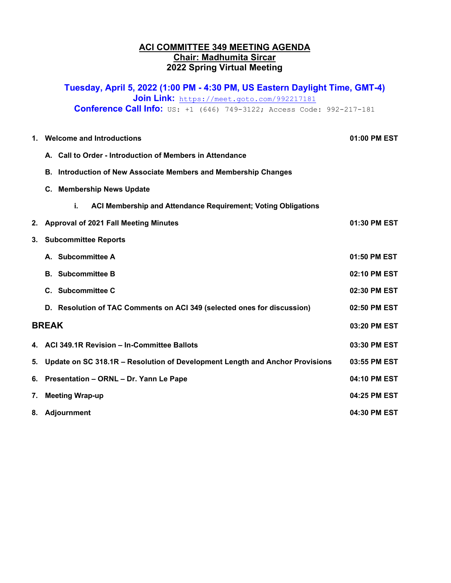# **ACI COMMITTEE 349 MEETING AGENDA Chair: Madhumita Sircar 2022 Spring Virtual Meeting**

**Tuesday, April 5, 2022 (1:00 PM - 4:30 PM, US Eastern Daylight Time, GMT-4) Join Link:** <https://meet.goto.com/992217181>

**Conference Call Info:**  $US: +1$  (646) 749-3122; Access Code: 992-217-181

| $\mathbf 1$ . | <b>Welcome and Introductions</b>                                             | 01:00 PM EST |
|---------------|------------------------------------------------------------------------------|--------------|
|               | A. Call to Order - Introduction of Members in Attendance                     |              |
|               | Introduction of New Associate Members and Membership Changes<br>В.           |              |
|               | <b>Membership News Update</b><br>C.                                          |              |
|               | i.<br>ACI Membership and Attendance Requirement; Voting Obligations          |              |
| 2.            | <b>Approval of 2021 Fall Meeting Minutes</b>                                 | 01:30 PM EST |
| 3.            | <b>Subcommittee Reports</b>                                                  |              |
|               | A. Subcommittee A                                                            | 01:50 PM EST |
|               | <b>B.</b> Subcommittee B                                                     | 02:10 PM EST |
|               | C. Subcommittee C                                                            | 02:30 PM EST |
|               | D. Resolution of TAC Comments on ACI 349 (selected ones for discussion)      | 02:50 PM EST |
| <b>BREAK</b>  |                                                                              | 03:20 PM EST |
|               | 4. ACI 349.1R Revision - In-Committee Ballots                                | 03:30 PM EST |
| 5.            | Update on SC 318.1R - Resolution of Development Length and Anchor Provisions | 03:55 PM EST |
| 6.            | Presentation - ORNL - Dr. Yann Le Pape                                       | 04:10 PM EST |
| 7.            | <b>Meeting Wrap-up</b>                                                       | 04:25 PM EST |
|               | 8. Adjournment                                                               | 04:30 PM EST |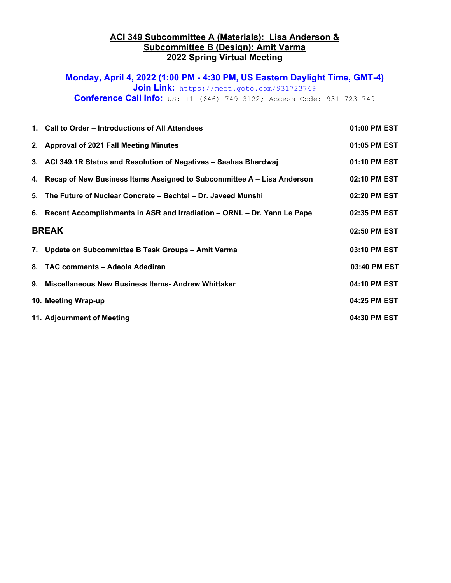## **ACI 349 Subcommittee A (Materials): Lisa Anderson & Subcommittee B (Design): Amit Varma 2022 Spring Virtual Meeting**

**Monday, April 4, 2022 (1:00 PM - 4:30 PM, US Eastern Daylight Time, GMT-4) Join Link:** <https://meet.goto.com/931723749>

**Conference Call Info:** US: +1 (646) 749-3122; Access Code: 931-723-749

|              | 1. Call to Order – Introductions of All Attendees                          | 01:00 PM EST |
|--------------|----------------------------------------------------------------------------|--------------|
|              | 2. Approval of 2021 Fall Meeting Minutes                                   | 01:05 PM EST |
|              | 3. ACI 349.1R Status and Resolution of Negatives - Saahas Bhardwaj         | 01:10 PM EST |
|              | 4. Recap of New Business Items Assigned to Subcommittee A – Lisa Anderson  | 02:10 PM EST |
|              | 5. The Future of Nuclear Concrete – Bechtel – Dr. Javeed Munshi            | 02:20 PM EST |
|              | 6. Recent Accomplishments in ASR and Irradiation - ORNL - Dr. Yann Le Pape | 02:35 PM EST |
| <b>BREAK</b> |                                                                            |              |
|              | 7. Update on Subcommittee B Task Groups - Amit Varma                       | 03:10 PM EST |
|              | 8. TAC comments - Adeola Adediran                                          | 03:40 PM EST |
|              | 9. Miscellaneous New Business Items- Andrew Whittaker                      | 04:10 PM EST |
|              | 10. Meeting Wrap-up                                                        | 04:25 PM EST |
|              | 11. Adjournment of Meeting                                                 | 04:30 PM EST |